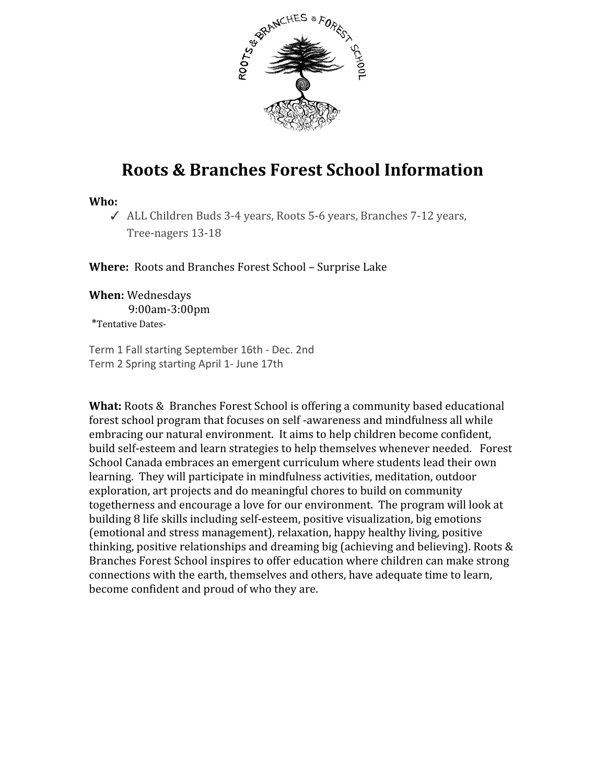

# **Roots & Branches Forest School Information**

#### **Who:**

✓ ALL Children Buds 3-4 years, Roots 5-6 years, Branches 7-12 years, Tree-nagers 13-18

**Where:** Roots and Branches Forest School – Surprise Lake

**When:** Wednesdays 9:00am-3:00pm \*Tentative Dates-

Term 1 Fall starting September 16th - Dec. 2nd Term 2 Spring starting April 1- June 17th

**What:** Roots & Branches Forest School is offering a community based educational forest school program that focuses on self -awareness and mindfulness all while embracing our natural environment. It aims to help children become confident, build self-esteem and learn strategies to help themselves whenever needed. Forest School Canada embraces an emergent curriculum where students lead their own learning. They will participate in mindfulness activities, meditation, outdoor exploration, art projects and do meaningful chores to build on community togetherness and encourage a love for our environment. The program will look at building 8 life skills including self-esteem, positive visualization, big emotions (emotional and stress management), relaxation, happy healthy living, positive thinking, positive relationships and dreaming big (achieving and believing). Roots & Branches Forest School inspires to offer education where children can make strong connections with the earth, themselves and others, have adequate time to learn, become confident and proud of who they are.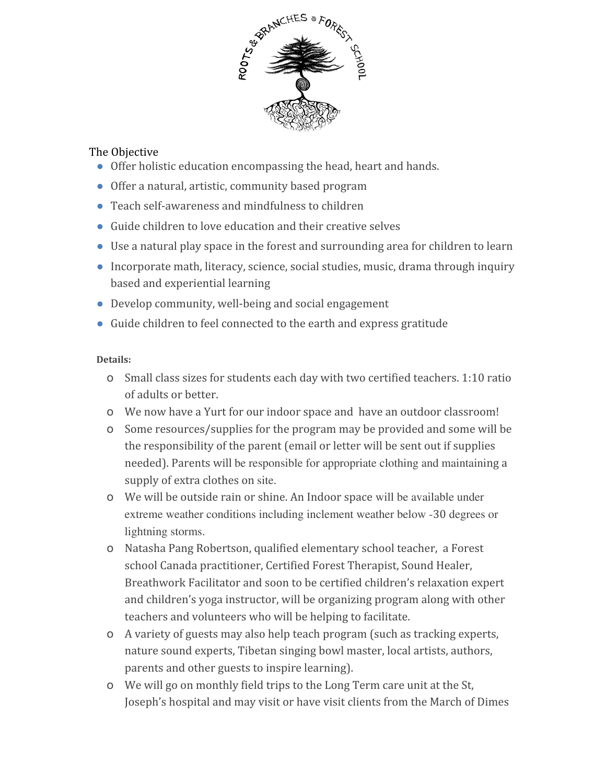

### The Objective

- Offer holistic education encompassing the head, heart and hands.
- Offer a natural, artistic, community based program
- Teach self-awareness and mindfulness to children
- Guide children to love education and their creative selves
- Use a natural play space in the forest and surrounding area for children to learn
- Incorporate math, literacy, science, social studies, music, drama through inquiry based and experiential learning
- Develop community, well-being and social engagement
- Guide children to feel connected to the earth and express gratitude

### **Details:**

- o Small class sizes for students each day with two certified teachers. 1:10 ratio of adults or better.
- o We now have a Yurt for our indoor space and have an outdoor classroom!
- o Some resources/supplies for the program may be provided and some will be the responsibility of the parent (email or letter will be sent out if supplies needed). Parents will be responsible for appropriate clothing and maintaining a supply of extra clothes on site.
- o We will be outside rain or shine. An Indoor space will be available under extreme weather conditions including inclement weather below -30 degrees or lightning storms.
- o Natasha Pang Robertson, qualified elementary school teacher, a Forest school Canada practitioner, Certified Forest Therapist, Sound Healer, Breathwork Facilitator and soon to be certified children's relaxation expert and children's yoga instructor, will be organizing program along with other teachers and volunteers who will be helping to facilitate.
- o A variety of guests may also help teach program (such as tracking experts, nature sound experts, Tibetan singing bowl master, local artists, authors, parents and other guests to inspire learning).
- o We will go on monthly field trips to the Long Term care unit at the St, Joseph's hospital and may visit or have visit clients from the March of Dimes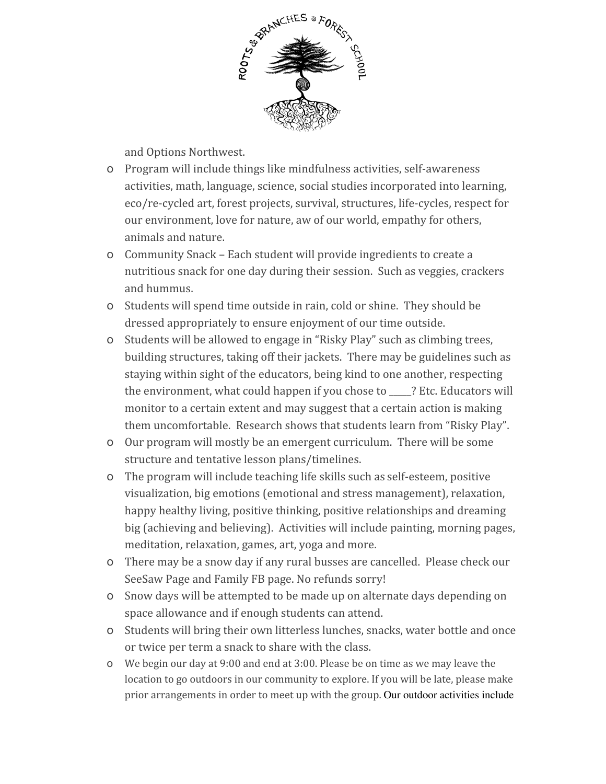

and Options Northwest.

- o Program will include things like mindfulness activities, self-awareness activities, math, language, science, social studies incorporated into learning, eco/re-cycled art, forest projects, survival, structures, life-cycles, respect for our environment, love for nature, aw of our world, empathy for others, animals and nature.
- o Community Snack Each student will provide ingredients to create a nutritious snack for one day during their session. Such as veggies, crackers and hummus.
- o Students will spend time outside in rain, cold or shine. They should be dressed appropriately to ensure enjoyment of our time outside.
- o Students will be allowed to engage in "Risky Play" such as climbing trees, building structures, taking off their jackets. There may be guidelines such as staying within sight of the educators, being kind to one another, respecting the environment, what could happen if you chose to \_\_\_\_\_? Etc. Educators will monitor to a certain extent and may suggest that a certain action is making them uncomfortable. Research shows that students learn from "Risky Play".
- o Our program will mostly be an emergent curriculum. There will be some structure and tentative lesson plans/timelines.
- o The program will include teaching life skills such as self-esteem, positive visualization, big emotions (emotional and stress management), relaxation, happy healthy living, positive thinking, positive relationships and dreaming big (achieving and believing). Activities will include painting, morning pages, meditation, relaxation, games, art, yoga and more.
- o There may be a snow day if any rural busses are cancelled. Please check our SeeSaw Page and Family FB page. No refunds sorry!
- o Snow days will be attempted to be made up on alternate days depending on space allowance and if enough students can attend.
- o Students will bring their own litterless lunches, snacks, water bottle and once or twice per term a snack to share with the class.
- o We begin our day at 9:00 and end at 3:00. Please be on time as we may leave the location to go outdoors in our community to explore. If you will be late, please make prior arrangements in order to meet up with the group. Our outdoor activities include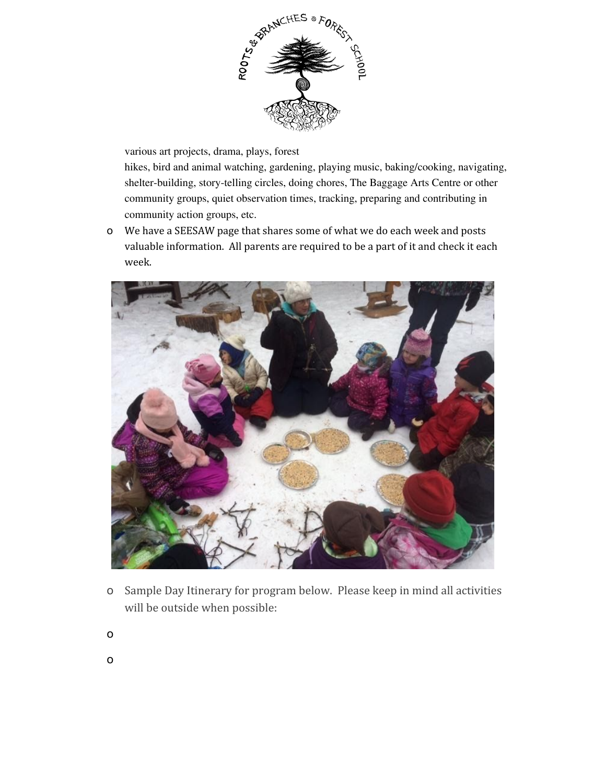

various art projects, drama, plays, forest

hikes, bird and animal watching, gardening, playing music, baking/cooking, navigating, shelter-building, story-telling circles, doing chores, The Baggage Arts Centre or other community groups, quiet observation times, tracking, preparing and contributing in community action groups, etc.

o We have a SEESAW page that shares some of what we do each week and posts valuable information. All parents are required to be a part of it and check it each week.



- o Sample Day Itinerary for program below. Please keep in mind all activities will be outside when possible:
- o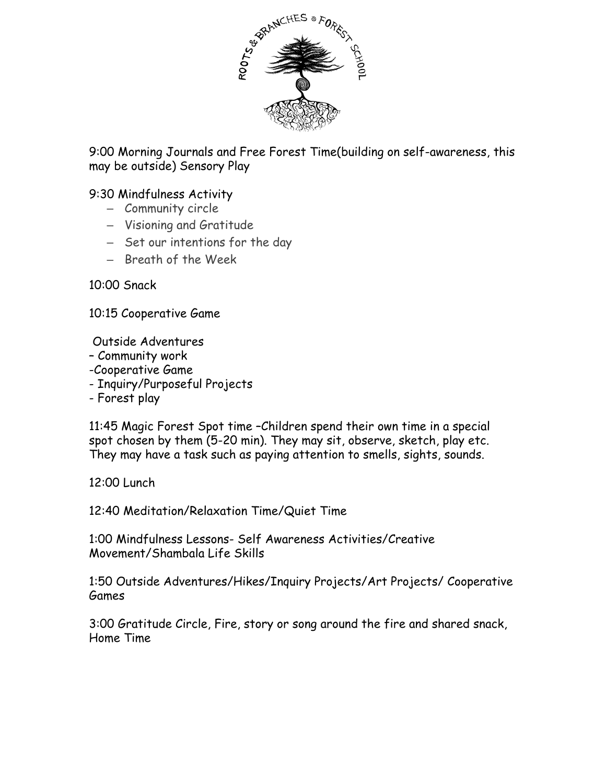

9:00 Morning Journals and Free Forest Time(building on self-awareness, this may be outside) Sensory Play

## 9:30 Mindfulness Activity

- Community circle
- Visioning and Gratitude
- Set our intentions for the day
- Breath of the Week

10:00 Snack

10:15 Cooperative Game

Outside Adventures

- Community work
- -Cooperative Game
- Inquiry/Purposeful Projects
- Forest play

11:45 Magic Forest Spot time –Children spend their own time in a special spot chosen by them (5-20 min). They may sit, observe, sketch, play etc. They may have a task such as paying attention to smells, sights, sounds.

12:00 Lunch

12:40 Meditation/Relaxation Time/Quiet Time

1:00 Mindfulness Lessons- Self Awareness Activities/Creative Movement/Shambala Life Skills

1:50 Outside Adventures/Hikes/Inquiry Projects/Art Projects/ Cooperative Games

3:00 Gratitude Circle, Fire, story or song around the fire and shared snack, Home Time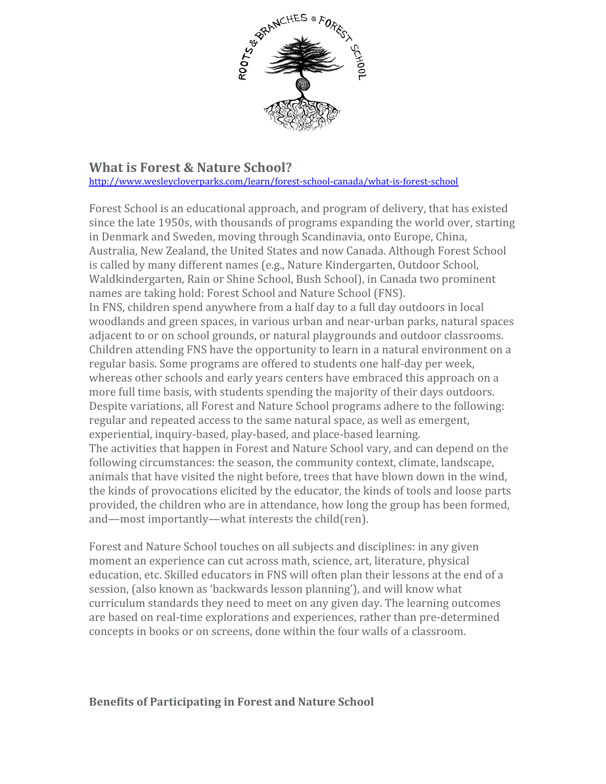

## **What is Forest & Nature School?**

<http://www.wesleycloverparks.com/learn/forest-school-canada/what-is-forest-school>

Forest School is an educational approach, and program of delivery, that has existed since the late 1950s, with thousands of programs expanding the world over, starting in Denmark and Sweden, moving through Scandinavia, onto Europe, China, Australia, New Zealand, the United States and now Canada. Although Forest School is called by many different names (e.g., Nature Kindergarten, Outdoor School, Waldkindergarten, Rain or Shine School, Bush School), in Canada two prominent names are taking hold: Forest School and Nature School (FNS). In FNS, children spend anywhere from a half day to a full day outdoors in local woodlands and green spaces, in various urban and near-urban parks, natural spaces adjacent to or on school grounds, or natural playgrounds and outdoor classrooms. Children attending FNS have the opportunity to learn in a natural environment on a regular basis. Some programs are offered to students one half-day per week, whereas other schools and early years centers have embraced this approach on a more full time basis, with students spending the majority of their days outdoors. Despite variations, all Forest and Nature School programs adhere to the following: regular and repeated access to the same natural space, as well as emergent, experiential, inquiry-based, play-based, and place-based learning. The activities that happen in Forest and Nature School vary, and can depend on the following circumstances: the season, the community context, climate, landscape, animals that have visited the night before, trees that have blown down in the wind, the kinds of provocations elicited by the educator, the kinds of tools and loose parts provided, the children who are in attendance, how long the group has been formed, and—most importantly—what interests the child(ren).

Forest and Nature School touches on all subjects and disciplines: in any given moment an experience can cut across math, science, art, literature, physical education, etc. Skilled educators in FNS will often plan their lessons at the end of a session, (also known as 'backwards lesson planning'), and will know what curriculum standards they need to meet on any given day. The learning outcomes are based on real-time explorations and experiences, rather than pre-determined concepts in books or on screens, done within the four walls of a classroom.

## **Benefits of Participating in Forest and Nature School**